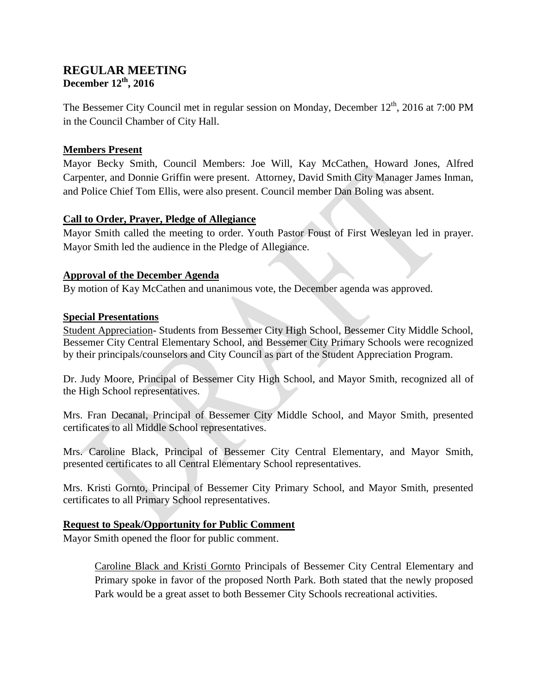# **REGULAR MEETING December 12th, 2016**

The Bessemer City Council met in regular session on Monday, December 12<sup>th</sup>, 2016 at 7:00 PM in the Council Chamber of City Hall.

### **Members Present**

Mayor Becky Smith, Council Members: Joe Will, Kay McCathen, Howard Jones, Alfred Carpenter, and Donnie Griffin were present. Attorney, David Smith City Manager James Inman, and Police Chief Tom Ellis, were also present. Council member Dan Boling was absent.

## **Call to Order, Prayer, Pledge of Allegiance**

Mayor Smith called the meeting to order. Youth Pastor Foust of First Wesleyan led in prayer. Mayor Smith led the audience in the Pledge of Allegiance.

### **Approval of the December Agenda**

By motion of Kay McCathen and unanimous vote, the December agenda was approved.

### **Special Presentations**

Student Appreciation- Students from Bessemer City High School, Bessemer City Middle School, Bessemer City Central Elementary School, and Bessemer City Primary Schools were recognized by their principals/counselors and City Council as part of the Student Appreciation Program.

Dr. Judy Moore, Principal of Bessemer City High School, and Mayor Smith, recognized all of the High School representatives.

Mrs. Fran Decanal, Principal of Bessemer City Middle School, and Mayor Smith, presented certificates to all Middle School representatives.

Mrs. Caroline Black, Principal of Bessemer City Central Elementary, and Mayor Smith, presented certificates to all Central Elementary School representatives.

Mrs. Kristi Gornto, Principal of Bessemer City Primary School, and Mayor Smith, presented certificates to all Primary School representatives.

## **Request to Speak/Opportunity for Public Comment**

Mayor Smith opened the floor for public comment.

Caroline Black and Kristi Gornto Principals of Bessemer City Central Elementary and Primary spoke in favor of the proposed North Park. Both stated that the newly proposed Park would be a great asset to both Bessemer City Schools recreational activities.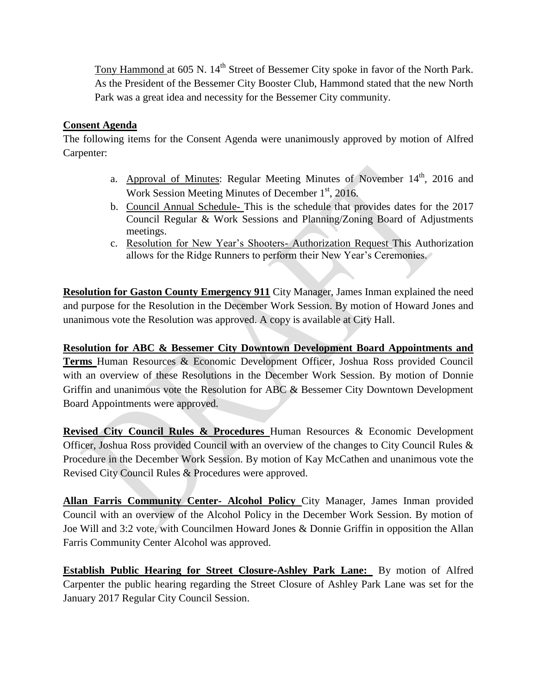Tony Hammond at 605 N. 14<sup>th</sup> Street of Bessemer City spoke in favor of the North Park. As the President of the Bessemer City Booster Club, Hammond stated that the new North Park was a great idea and necessity for the Bessemer City community.

# **Consent Agenda**

The following items for the Consent Agenda were unanimously approved by motion of Alfred Carpenter:

- a. Approval of Minutes: Regular Meeting Minutes of November  $14<sup>th</sup>$ , 2016 and Work Session Meeting Minutes of December  $1<sup>st</sup>$ , 2016.
- b. Council Annual Schedule- This is the schedule that provides dates for the 2017 Council Regular & Work Sessions and Planning/Zoning Board of Adjustments meetings.
- c. Resolution for New Year's Shooters- Authorization Request This Authorization allows for the Ridge Runners to perform their New Year's Ceremonies.

**Resolution for Gaston County Emergency 911** City Manager, James Inman explained the need and purpose for the Resolution in the December Work Session. By motion of Howard Jones and unanimous vote the Resolution was approved. A copy is available at City Hall.

**Resolution for ABC & Bessemer City Downtown Development Board Appointments and Terms** Human Resources & Economic Development Officer, Joshua Ross provided Council with an overview of these Resolutions in the December Work Session. By motion of Donnie Griffin and unanimous vote the Resolution for ABC & Bessemer City Downtown Development Board Appointments were approved.

**Revised City Council Rules & Procedures** Human Resources & Economic Development Officer, Joshua Ross provided Council with an overview of the changes to City Council Rules & Procedure in the December Work Session. By motion of Kay McCathen and unanimous vote the Revised City Council Rules & Procedures were approved.

**Allan Farris Community Center- Alcohol Policy** City Manager, James Inman provided Council with an overview of the Alcohol Policy in the December Work Session. By motion of Joe Will and 3:2 vote, with Councilmen Howard Jones & Donnie Griffin in opposition the Allan Farris Community Center Alcohol was approved.

**Establish Public Hearing for Street Closure-Ashley Park Lane:** By motion of Alfred Carpenter the public hearing regarding the Street Closure of Ashley Park Lane was set for the January 2017 Regular City Council Session.